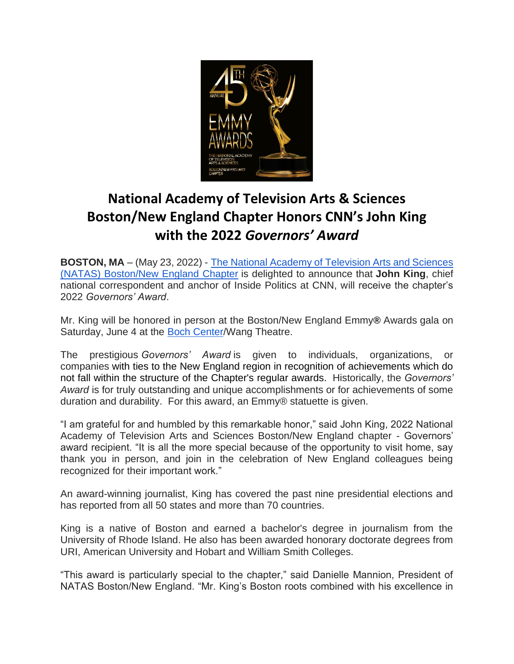

## **National Academy of Television Arts & Sciences Boston/New England Chapter Honors CNN's John King with the 2022** *Governors' Award*

**BOSTON, MA** – (May 23, 2022) - [The National Academy of Television Arts and Sciences](http://www.newenglandemmy.org/)  [\(NATAS\) Boston/New England Chapter](http://www.newenglandemmy.org/) is delighted to announce that **John King**, chief national correspondent and anchor of Inside Politics at CNN, will receive the chapter's 2022 *Governors' Award*.

Mr. King will be honored in person at the Boston/New England Emmy**®** Awards gala on Saturday, June 4 at the [Boch Center/](https://www.bochcenter.org/)Wang Theatre.

The prestigious *Governors' Award* is given to individuals, organizations, or companies with ties to the New England region in recognition of achievements which do not fall within the structure of the Chapter's regular awards. Historically, the *Governors' Award* is for truly outstanding and unique accomplishments or for achievements of some duration and durability. For this award, an Emmy® statuette is given.

"I am grateful for and humbled by this remarkable honor," said John King, 2022 National Academy of Television Arts and Sciences Boston/New England chapter - Governors' award recipient. "It is all the more special because of the opportunity to visit home, say thank you in person, and join in the celebration of New England colleagues being recognized for their important work."

An award-winning journalist, King has covered the past nine presidential elections and has reported from all 50 states and more than 70 countries.

King is a native of Boston and earned a bachelor's degree in journalism from the University of Rhode Island. He also has been awarded honorary doctorate degrees from URI, American University and Hobart and William Smith Colleges.

"This award is particularly special to the chapter," said Danielle Mannion, President of NATAS Boston/New England. "Mr. King's Boston roots combined with his excellence in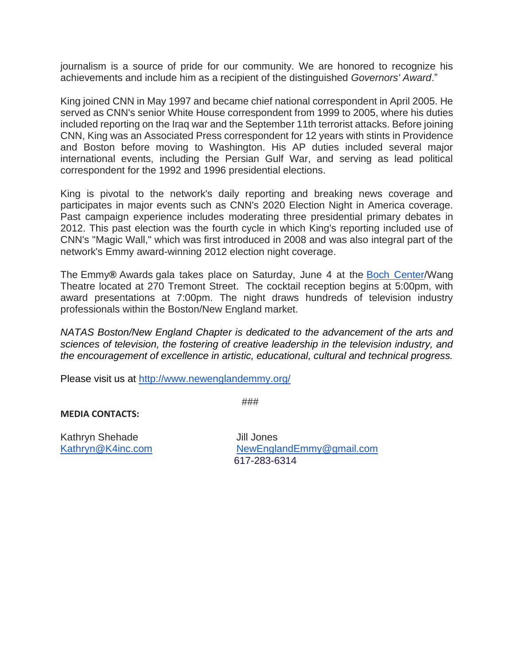journalism is a source of pride for our community. We are honored to recognize his achievements and include him as a recipient of the distinguished *Governors' Award*."

King joined CNN in May 1997 and became chief national correspondent in April 2005. He served as CNN's senior White House correspondent from 1999 to 2005, where his duties included reporting on the Iraq war and the September 11th terrorist attacks. Before joining CNN, King was an Associated Press correspondent for 12 years with stints in Providence and Boston before moving to Washington. His AP duties included several major international events, including the Persian Gulf War, and serving as lead political correspondent for the 1992 and 1996 presidential elections.

King is pivotal to the network's daily reporting and breaking news coverage and participates in major events such as CNN's 2020 Election Night in America coverage. Past campaign experience includes moderating three presidential primary debates in 2012. This past election was the fourth cycle in which King's reporting included use of CNN's "Magic Wall," which was first introduced in 2008 and was also integral part of the network's Emmy award-winning 2012 election night coverage.

The Emmy**®** Awards gala takes place on Saturday, June 4 at the [Boch Center/](https://www.bochcenter.org/)Wang Theatre located at 270 Tremont Street. The cocktail reception begins at 5:00pm, with award presentations at 7:00pm. The night draws hundreds of television industry professionals within the Boston/New England market.

*NATAS Boston/New England Chapter is dedicated to the advancement of the arts and sciences of television, the fostering of creative leadership in the television industry, and the encouragement of excellence in artistic, educational, cultural and technical progress.*

Please visit us at <http://www.newenglandemmy.org/>

###

**MEDIA CONTACTS:**

Kathryn Shehade Jill Jones

[Kathryn@K4inc.com](mailto:Kathryn@K4inc.com) [NewEnglandEmmy@gmail.com](mailto:NewEnglandEmmy@gmail.com) 617-283-6314